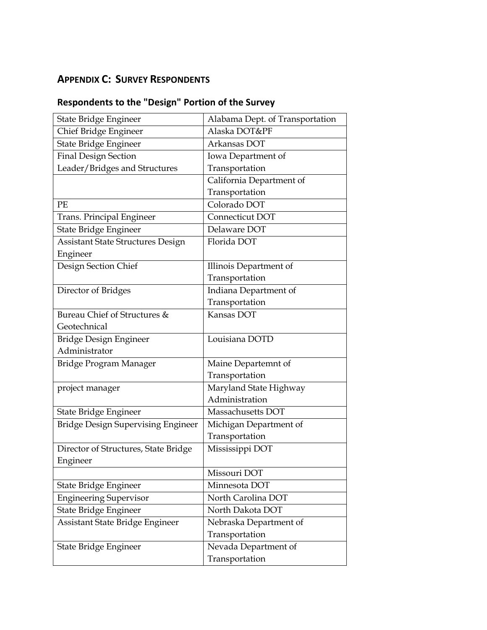## **APPENDIX C: SURVEY RESPONDENTS**

| State Bridge Engineer                    | Alabama Dept. of Transportation |
|------------------------------------------|---------------------------------|
| Chief Bridge Engineer                    | Alaska DOT&PF                   |
| State Bridge Engineer                    | Arkansas DOT                    |
| <b>Final Design Section</b>              | Iowa Department of              |
| Leader/Bridges and Structures            | Transportation                  |
|                                          | California Department of        |
|                                          | Transportation                  |
| PE                                       | Colorado DOT                    |
| Trans. Principal Engineer                | Connecticut DOT                 |
| State Bridge Engineer                    | Delaware DOT                    |
| <b>Assistant State Structures Design</b> | Florida DOT                     |
| Engineer                                 |                                 |
| Design Section Chief                     | Illinois Department of          |
|                                          | Transportation                  |
| Director of Bridges                      | Indiana Department of           |
|                                          | Transportation                  |
| Bureau Chief of Structures &             | Kansas DOT                      |
| Geotechnical                             |                                 |
| Bridge Design Engineer                   | Louisiana DOTD                  |
| Administrator                            |                                 |
| Bridge Program Manager                   | Maine Departemnt of             |
|                                          | Transportation                  |
| project manager                          | Maryland State Highway          |
|                                          | Administration                  |
| State Bridge Engineer                    | Massachusetts DOT               |
| Bridge Design Supervising Engineer       | Michigan Department of          |
|                                          | Transportation                  |
| Director of Structures, State Bridge     | Mississippi DOT                 |
| Engineer                                 |                                 |
|                                          | Missouri DOT                    |
| State Bridge Engineer                    | Minnesota DOT                   |
| <b>Engineering Supervisor</b>            | North Carolina DOT              |
| State Bridge Engineer                    | North Dakota DOT                |
| Assistant State Bridge Engineer          | Nebraska Department of          |
|                                          | Transportation                  |
| State Bridge Engineer                    | Nevada Department of            |
|                                          | Transportation                  |

## **Respondents to the "Design" Portion of the Survey**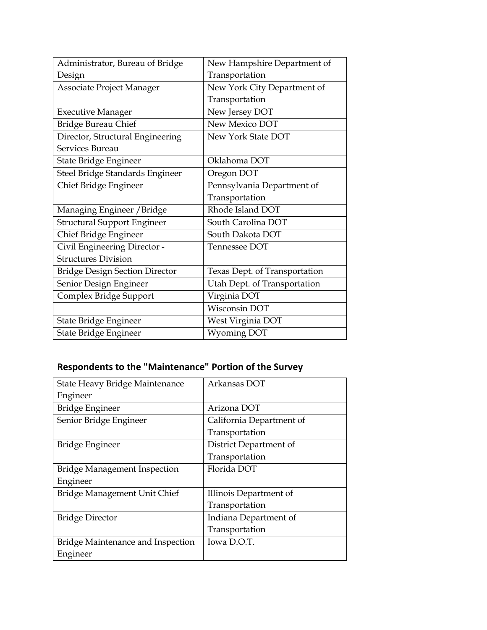| Administrator, Bureau of Bridge       | New Hampshire Department of   |
|---------------------------------------|-------------------------------|
| Design                                | Transportation                |
| Associate Project Manager             | New York City Department of   |
|                                       | Transportation                |
| <b>Executive Manager</b>              | New Jersey DOT                |
| <b>Bridge Bureau Chief</b>            | New Mexico DOT                |
| Director, Structural Engineering      | New York State DOT            |
| Services Bureau                       |                               |
| State Bridge Engineer                 | Oklahoma DOT                  |
| Steel Bridge Standards Engineer       | Oregon DOT                    |
| Chief Bridge Engineer                 | Pennsylvania Department of    |
|                                       | Transportation                |
| Managing Engineer / Bridge            | Rhode Island DOT              |
| <b>Structural Support Engineer</b>    | South Carolina DOT            |
| Chief Bridge Engineer                 | South Dakota DOT              |
| Civil Engineering Director -          | Tennessee DOT                 |
| <b>Structures Division</b>            |                               |
| <b>Bridge Design Section Director</b> | Texas Dept. of Transportation |
| Senior Design Engineer                | Utah Dept. of Transportation  |
| Complex Bridge Support                | Virginia DOT                  |
|                                       | Wisconsin DOT                 |
| State Bridge Engineer                 | West Virginia DOT             |
| State Bridge Engineer                 | <b>Wyoming DOT</b>            |

## **Respondents to the "Maintenance" Portion of the Survey**

| State Heavy Bridge Maintenance      | Arkansas DOT             |
|-------------------------------------|--------------------------|
| Engineer                            |                          |
| Bridge Engineer                     | Arizona DOT              |
| Senior Bridge Engineer              | California Department of |
|                                     | Transportation           |
| Bridge Engineer                     | District Department of   |
|                                     | Transportation           |
| <b>Bridge Management Inspection</b> | Florida DOT              |
| Engineer                            |                          |
| Bridge Management Unit Chief        | Illinois Department of   |
|                                     | Transportation           |
| <b>Bridge Director</b>              | Indiana Department of    |
|                                     | Transportation           |
| Bridge Maintenance and Inspection   | Iowa D.O.T.              |
| Engineer                            |                          |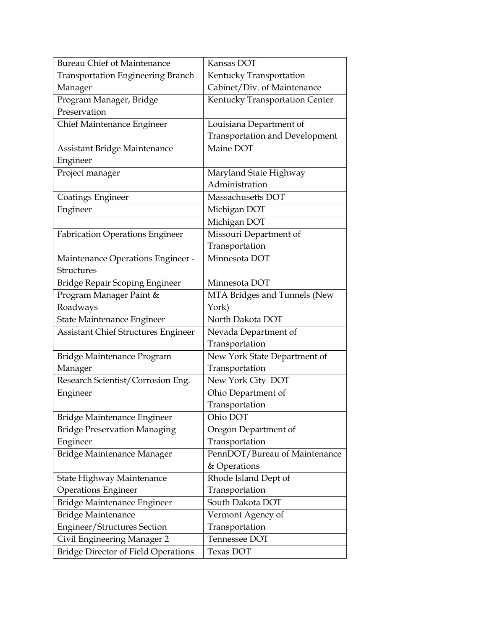| <b>Bureau Chief of Maintenance</b>         | Kansas DOT                            |
|--------------------------------------------|---------------------------------------|
| <b>Transportation Engineering Branch</b>   | Kentucky Transportation               |
| Manager                                    | Cabinet/Div. of Maintenance           |
| Program Manager, Bridge                    | Kentucky Transportation Center        |
| Preservation                               |                                       |
| Chief Maintenance Engineer                 | Louisiana Department of               |
|                                            | <b>Transportation and Development</b> |
| Assistant Bridge Maintenance               | Maine DOT                             |
| Engineer                                   |                                       |
| Project manager                            | Maryland State Highway                |
|                                            | Administration                        |
| <b>Coatings Engineer</b>                   | Massachusetts DOT                     |
| Engineer                                   | Michigan DOT                          |
|                                            | Michigan DOT                          |
| <b>Fabrication Operations Engineer</b>     | Missouri Department of                |
|                                            | Transportation                        |
| Maintenance Operations Engineer -          | Minnesota DOT                         |
| <b>Structures</b>                          |                                       |
| Bridge Repair Scoping Engineer             | Minnesota DOT                         |
| Program Manager Paint &                    | MTA Bridges and Tunnels (New          |
| Roadways                                   | York)                                 |
| State Maintenance Engineer                 | North Dakota DOT                      |
| Assistant Chief Structures Engineer        | Nevada Department of                  |
|                                            | Transportation                        |
| Bridge Maintenance Program                 | New York State Department of          |
| Manager                                    | Transportation                        |
| Research Scientist/Corrosion Eng.          | New York City DOT                     |
| Engineer                                   | Ohio Department of                    |
|                                            | Transportation                        |
| Bridge Maintenance Engineer                | Ohio DOT                              |
| <b>Bridge Preservation Managing</b>        | Oregon Department of                  |
| Engineer                                   | Transportation                        |
| Bridge Maintenance Manager                 | PennDOT/Bureau of Maintenance         |
|                                            | & Operations                          |
| State Highway Maintenance                  | Rhode Island Dept of                  |
| <b>Operations Engineer</b>                 | Transportation                        |
| Bridge Maintenance Engineer                | South Dakota DOT                      |
| <b>Bridge Maintenance</b>                  | Vermont Agency of                     |
| Engineer/Structures Section                | Transportation                        |
| Civil Engineering Manager 2                | Tennessee DOT                         |
| <b>Bridge Director of Field Operations</b> | Texas DOT                             |